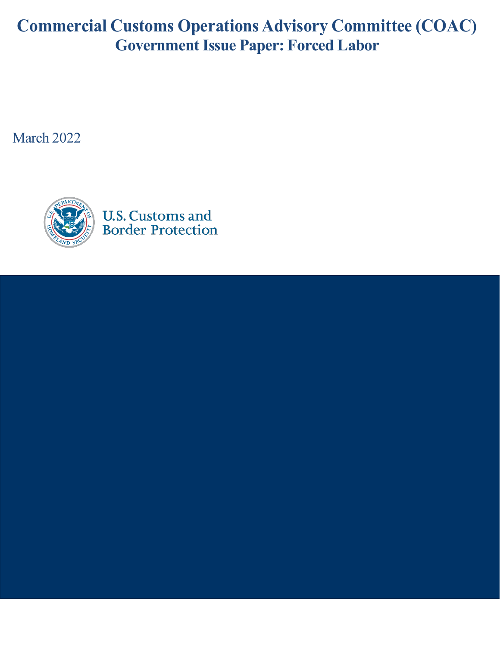# **Commercial Customs Operations Advisory Committee (COAC) Government Issue Paper: Forced Labor**

March 2022